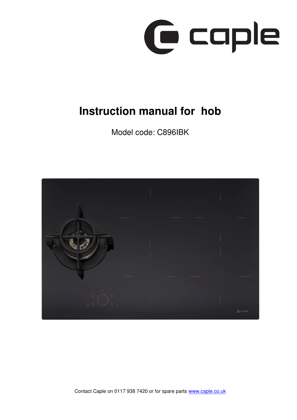

# **Instruction manual for hob**

Model code: C896IBK



Contact Caple on 0117 938 7420 or for spare parts [www.caple.co.uk](http://www.caple.co.uk/)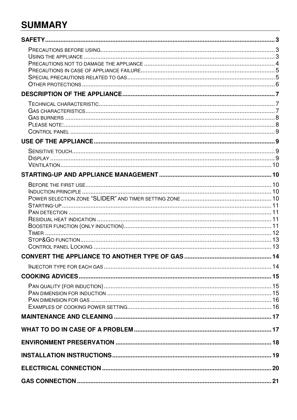# **SUMMARY**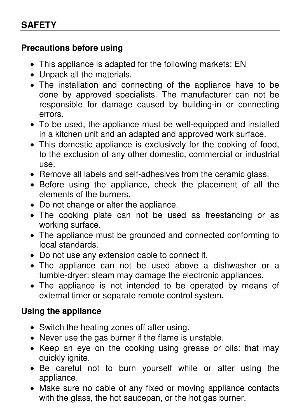# <span id="page-2-1"></span><span id="page-2-0"></span>**Precautions before using**

- This appliance is adapted for the following markets: EN
- Unpack all the materials.
- The installation and connecting of the appliance have to be done by approved specialists. The manufacturer can not be responsible for damage caused by building-in or connecting errors.
- To be used, the appliance must be well-equipped and installed in a kitchen unit and an adapted and approved work surface.
- This domestic appliance is exclusively for the cooking of food, to the exclusion of any other domestic, commercial or industrial use.
- Remove all labels and self-adhesives from the ceramic glass.
- Before using the appliance, check the placement of all the elements of the burners.
- Do not change or alter the appliance.
- The cooking plate can not be used as freestanding or as working surface.
- The appliance must be grounded and connected conforming to local standards.
- Do not use any extension cable to connect it.
- The appliance can not be used above a dishwasher or a tumble-dryer: steam may damage the electronic appliances.
- The appliance is not intended to be operated by means of external timer or separate remote control system.

# <span id="page-2-2"></span>**Using the appliance**

- Switch the heating zones off after using.
- Never use the gas burner if the flame is unstable.
- Keep an eye on the cooking using grease or oils: that may quickly ignite.
- Be careful not to burn yourself while or after using the appliance.
- Make sure no cable of any fixed or moving appliance contacts with the glass, the hot saucepan, or the hot gas burner.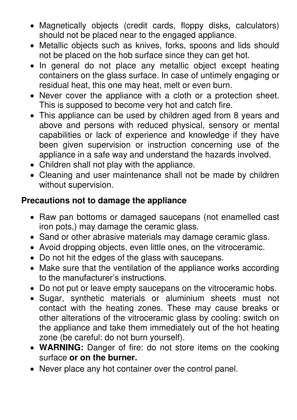- Magnetically objects (credit cards, floppy disks, calculators) should not be placed near to the engaged appliance.
- Metallic objects such as knives, forks, spoons and lids should not be placed on the hob surface since they can get hot.
- In general do not place any metallic object except heating containers on the glass surface. In case of untimely engaging or residual heat, this one may heat, melt or even burn.
- Never cover the appliance with a cloth or a protection sheet. This is supposed to become very hot and catch fire.
- This appliance can be used by children aged from 8 years and above and persons with reduced physical, sensory or mental capabilities or lack of experience and knowledge if they have been given supervision or instruction concerning use of the appliance in a safe way and understand the hazards involved.
- Children shall not play with the appliance.
- Cleaning and user maintenance shall not be made by children without supervision.

# <span id="page-3-0"></span>**Precautions not to damage the appliance**

- Raw pan bottoms or damaged saucepans (not enamelled cast iron pots,) may damage the ceramic glass.
- Sand or other abrasive materials may damage ceramic glass.
- Avoid dropping objects, even little ones, on the vitroceramic.
- Do not hit the edges of the glass with saucepans.
- Make sure that the ventilation of the appliance works according to the manufacturer's instructions.
- Do not put or leave empty saucepans on the vitroceramic hobs.
- Sugar, synthetic materials or aluminium sheets must not contact with the heating zones. These may cause breaks or other alterations of the vitroceramic glass by cooling: switch on the appliance and take them immediately out of the hot heating zone (be careful: do not burn yourself).
- **WARNING:** Danger of fire: do not store items on the cooking surface **or on the burner.**
- Never place any hot container over the control panel.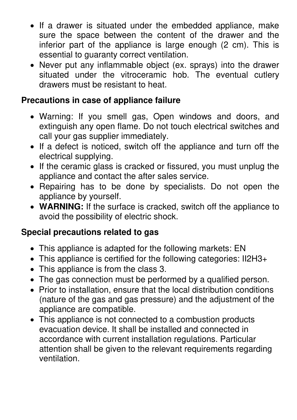- If a drawer is situated under the embedded appliance, make sure the space between the content of the drawer and the inferior part of the appliance is large enough (2 cm). This is essential to guaranty correct ventilation.
- Never put any inflammable object (ex. sprays) into the drawer situated under the vitroceramic hob. The eventual cutlery drawers must be resistant to heat.

# <span id="page-4-0"></span>**Precautions in case of appliance failure**

- Warning: If you smell gas, Open windows and doors, and extinguish any open flame. Do not touch electrical switches and call your gas supplier immediately.
- If a defect is noticed, switch off the appliance and turn off the electrical supplying.
- If the ceramic glass is cracked or fissured, you must unplug the appliance and contact the after sales service.
- Repairing has to be done by specialists. Do not open the appliance by yourself.
- **WARNING:** If the surface is cracked, switch off the appliance to avoid the possibility of electric shock.

# <span id="page-4-1"></span>**Special precautions related to gas**

- This appliance is adapted for the following markets: EN
- This appliance is certified for the following categories: II2H3+
- This appliance is from the class 3.
- The gas connection must be performed by a qualified person.
- Prior to installation, ensure that the local distribution conditions (nature of the gas and gas pressure) and the adjustment of the appliance are compatible.
- This appliance is not connected to a combustion products evacuation device. It shall be installed and connected in accordance with current installation regulations. Particular attention shall be given to the relevant requirements regarding ventilation.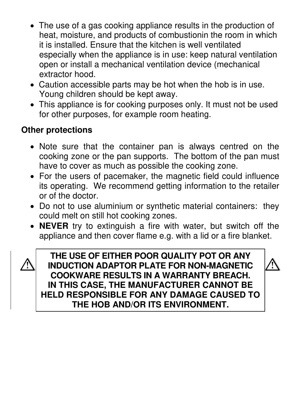- The use of a gas cooking appliance results in the production of heat, moisture, and products of combustionin the room in which it is installed. Ensure that the kitchen is well ventilated especially when the appliance is in use: keep natural ventilation open or install a mechanical ventilation device (mechanical extractor hood.
- Caution accessible parts may be hot when the hob is in use. Young children should be kept away.
- This appliance is for cooking purposes only. It must not be used for other purposes, for example room heating.

# <span id="page-5-0"></span>**Other protections**

- Note sure that the container pan is always centred on the cooking zone or the pan supports. The bottom of the pan must have to cover as much as possible the cooking zone.
- For the users of pacemaker, the magnetic field could influence its operating. We recommend getting information to the retailer or of the doctor.
- Do not to use aluminium or synthetic material containers: they could melt on still hot cooking zones.
- **NEVER** try to extinguish a fire with water, but switch off the appliance and then cover flame e.g. with a lid or a fire blanket.



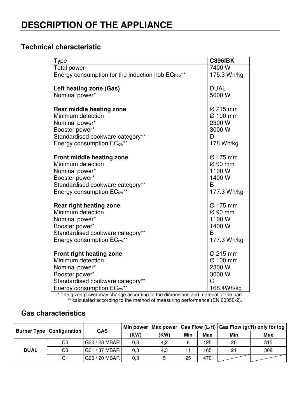## <span id="page-6-1"></span><span id="page-6-0"></span>**Technical characteristic**

| <b>Type</b>                                                                                                                                                                                                                                                | <b>C896IBK</b>                                                          |
|------------------------------------------------------------------------------------------------------------------------------------------------------------------------------------------------------------------------------------------------------------|-------------------------------------------------------------------------|
| <b>Total power</b>                                                                                                                                                                                                                                         | 7400 W                                                                  |
| Energy consumption for the induction hob EC <sub>hob</sub> <sup>**</sup>                                                                                                                                                                                   | 175.3 Wh/kg                                                             |
| Left heating zone (Gas)                                                                                                                                                                                                                                    | <b>DUAL</b>                                                             |
| Nominal power*                                                                                                                                                                                                                                             | 5000 W                                                                  |
| Rear middle heating zone                                                                                                                                                                                                                                   | Ø 215 mm                                                                |
| Minimum detection                                                                                                                                                                                                                                          | Ø 100 mm                                                                |
| Nominal power*                                                                                                                                                                                                                                             | 2300 W                                                                  |
| Booster power*                                                                                                                                                                                                                                             | 3000 W                                                                  |
| Standardised cookware category**                                                                                                                                                                                                                           | D                                                                       |
| Energy consumption EC <sub>cw</sub> **                                                                                                                                                                                                                     | 178 Wh/kg                                                               |
| Front middle heating zone                                                                                                                                                                                                                                  | Ø 175 mm                                                                |
| Minimum detection                                                                                                                                                                                                                                          | $\varnothing$ 90 mm                                                     |
| Nominal power*                                                                                                                                                                                                                                             | 1100 W                                                                  |
| Booster power*                                                                                                                                                                                                                                             | 1400 W                                                                  |
| Standardised cookware category**                                                                                                                                                                                                                           | B                                                                       |
| Energy consumption EC <sub>cw</sub> **                                                                                                                                                                                                                     | 177.3 Wh/kg                                                             |
| Rear right heating zone                                                                                                                                                                                                                                    | Ø 175 mm                                                                |
| Minimum detection                                                                                                                                                                                                                                          | $\varnothing$ 90 mm                                                     |
| Nominal power*                                                                                                                                                                                                                                             | 1100W                                                                   |
| Booster power*                                                                                                                                                                                                                                             | 1400 W                                                                  |
| Standardised cookware category**                                                                                                                                                                                                                           | B                                                                       |
| Energy consumption EC <sub>cw</sub> **                                                                                                                                                                                                                     | 177.3 Wh/kg                                                             |
| <b>Front right heating zone</b><br>Minimum detection<br>Nominal power*<br>Booster power*<br>Standardised cookware category**<br>Energy consumption EC <sub>cw</sub> **<br>* The given power may obenge cooording to the dimensions and meterial of the nep | Ø 215 mm<br>Ø 100 mm<br>2300 W<br>3000 W<br>$\mathcal{C}$<br>168.4Wh/kg |

\* The given power may change according to the dimensions and material of the pan. \*\* calculated according to the method of measuring performance (EN 60350-2).

# <span id="page-6-2"></span>**Gas characteristics**

|             | <b>Burner Type   Configuration</b> | <b>GAS</b>    |      |      |     |            |     | Min power   Max power   Gas Flow (L/H)   Gas Flow (gr/H) only for lpg |
|-------------|------------------------------------|---------------|------|------|-----|------------|-----|-----------------------------------------------------------------------|
|             |                                    |               | (KW) | (KW) | Min | <b>Max</b> | Min | <b>Max</b>                                                            |
|             | C0                                 | G30 / 28 MBAR | 0,3  | 4,2  |     | 125        | 20  | 315                                                                   |
| <b>DUAL</b> | C0                                 | G31 / 37 MBAR | 0,3  | 4,3  |     | 165        | 21  | 308                                                                   |
|             | C1                                 | G20 / 20 MBAR | 0,3  |      | 25  | 470        |     |                                                                       |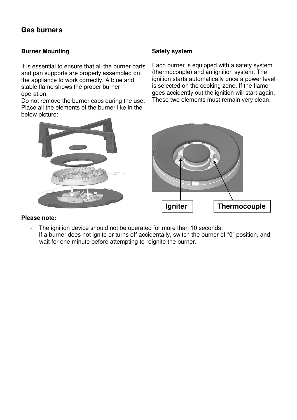## <span id="page-7-0"></span>**Gas burners**

### **Burner Mounting**

It is essential to ensure that all the burner parts and pan supports are properly assembled on the appliance to work correctly. A blue and stable flame shows the proper burner operation.

Do not remove the burner caps during the use. Place all the elements of the burner like in the below picture:

### **Safety system**

Each burner is equipped with a safety system (thermocouple) and an ignition system. The ignition starts automatically once a power level is selected on the cooking zone. If the flame goes accidently out the ignition will start again. These two elements must remain very clean.



### <span id="page-7-1"></span>**Please note:**

- The ignition device should not be operated for more than 10 seconds.
- If a burner does not ignite or turns off accidentally, switch the burner of "0" position, and wait for one minute before attempting to reignite the burner.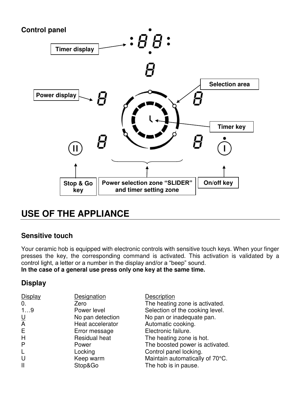<span id="page-8-0"></span>

# <span id="page-8-1"></span>**USE OF THE APPLIANCE**

# <span id="page-8-2"></span>**Sensitive touch**

Your ceramic hob is equipped with electronic controls with sensitive touch keys. When your finger presses the key, the corresponding command is activated. This activation is validated by a control light, a letter or a number in the display and/or a "beep" sound.

# **In the case of a general use press only one key at the same time.**

## <span id="page-8-3"></span>**Display**

| <b>Display</b>                  | Designation          | Description                     |
|---------------------------------|----------------------|---------------------------------|
| 0.                              | Zero                 | The heating zone is activated.  |
| 19                              | Power level          | Selection of the cooking level. |
| $\frac{\mathsf{U}}{\mathsf{A}}$ | No pan detection     | No pan or inadequate pan.       |
|                                 | Heat accelerator     | Automatic cooking.              |
| E.                              | Error message        | Electronic failure.             |
| H                               | <b>Residual heat</b> | The heating zone is hot.        |
| P                               | Power                | The boosted power is activated. |
| L                               | Locking              | Control panel locking.          |
| U                               | Keep warm            | Maintain automatically of 70°C. |
| $\mathsf{I}$                    | Stop&Go              | The hob is in pause.            |
|                                 |                      |                                 |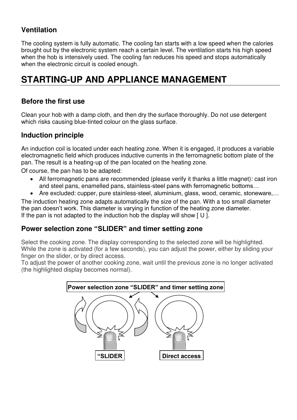# <span id="page-9-0"></span>**Ventilation**

The cooling system is fully automatic. The cooling fan starts with a low speed when the calories brought out by the electronic system reach a certain level. The ventilation starts his high speed when the hob is intensively used. The cooling fan reduces his speed and stops automatically when the electronic circuit is cooled enough.

# <span id="page-9-1"></span>**STARTING-UP AND APPLIANCE MANAGEMENT**

# <span id="page-9-2"></span>**Before the first use**

Clean your hob with a damp cloth, and then dry the surface thoroughly. Do not use detergent which risks causing blue-tinted colour on the glass surface.

# <span id="page-9-3"></span>**Induction principle**

An induction coil is located under each heating zone. When it is engaged, it produces a variable electromagnetic field which produces inductive currents in the ferromagnetic bottom plate of the pan. The result is a heating-up of the pan located on the heating zone.

Of course, the pan has to be adapted:

- All ferromagnetic pans are recommended (please verify it thanks a little magnet): cast iron and steel pans, enamelled pans, stainless-steel pans with ferromagnetic bottoms…
- Are excluded: cupper, pure stainless-steel, aluminium, glass, wood, ceramic, stoneware,…

The induction heating zone adapts automatically the size of the pan. With a too small diameter the pan doesn't work. This diameter is varying in function of the heating zone diameter. If the pan is not adapted to the induction hob the display will show  $[U]$ .

## <span id="page-9-4"></span>**Power selection zone "SLIDER" and timer setting zone**

Select the cooking zone. The display corresponding to the selected zone will be highlighted. While the zone is activated (for a few seconds), you can adjust the power, either by sliding your finger on the slider, or by direct access.

To adjust the power of another cooking zone, wait until the previous zone is no longer activated (the highlighted display becomes normal).

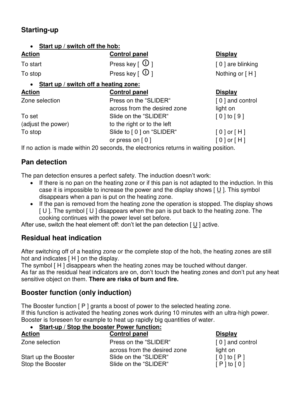# <span id="page-10-0"></span>**Starting-up**

### • **Start up / switch off the hob:**

**Action Control panel Display Control panel Display** To start **Press key**  $\lceil \Theta \rceil$  [ 0 ] are blinking To stop **Press key**  $\lceil \Theta \rceil$  Nothing or  $\lceil H \rceil$ 

### • **Start up / switch off a heating zone:**

| <b>Action</b>      | <b>Control panel</b>         | <b>Display</b>                         |
|--------------------|------------------------------|----------------------------------------|
| Zone selection     | Press on the "SLIDER"        | [0] and control                        |
|                    | across from the desired zone | light on                               |
| To set             | Slide on the "SLIDER"        | $\lceil 0 \rceil$ to $\lceil 9 \rceil$ |
| (adjust the power) | to the right or to the left  |                                        |
| To stop            | Slide to [0] on "SLIDER"     | $[0]$ or $[H]$                         |
|                    | or press on $[0]$            | $[0]$ or $[H]$                         |

If no action is made within 20 seconds, the electronics returns in waiting position.

# <span id="page-10-1"></span>**Pan detection**

The pan detection ensures a perfect safety. The induction doesn't work:

- If there is no pan on the heating zone or if this pan is not adapted to the induction. In this case it is impossible to increase the power and the display shows [ U ]. This symbol disappears when a pan is put on the heating zone.
- If the pan is removed from the heating zone the operation is stopped. The display shows  $[U]$ . The symbol  $[U]$  disappears when the pan is put back to the heating zone. The cooking continues with the power level set before.

After use, switch the heat element off: don't let the pan detection  $\lceil \underline{U} \rceil$  active.

# <span id="page-10-2"></span>**Residual heat indication**

After switching off of a heating zone or the complete stop of the hob, the heating zones are still hot and indicates  $\lceil H \rceil$  on the display.

The symbol [H] disappears when the heating zones may be touched without danger.

As far as the residual heat indicators are on, don't touch the heating zones and don't put any heat sensitive object on them. **There are risks of burn and fire.** 

# <span id="page-10-3"></span>**Booster function (only induction)**

The Booster function [P ] grants a boost of power to the selected heating zone. If this function is activated the heating zones work during 10 minutes with an ultra-high power. Booster is foreseen for example to heat up rapidly big quantities of water.

### • **Start-up / Stop the booster Power function:**

| <b>Action</b>        | <b>Control panel</b>         | <b>Display</b>                         |
|----------------------|------------------------------|----------------------------------------|
| Zone selection       | Press on the "SLIDER"        | [0] and control                        |
|                      | across from the desired zone | light on                               |
| Start up the Booster | Slide on the "SLIDER"        | $\lceil 0 \rceil$ to $\lceil P \rceil$ |
| Stop the Booster     | Slide on the "SLIDER"        | $[P]$ to $[0]$                         |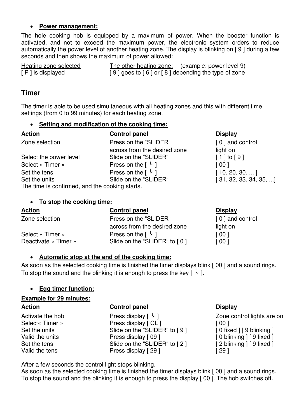### <span id="page-11-1"></span>• **Power management:**

The hole cooking hob is equipped by a maximum of power. When the booster function is activated, and not to exceed the maximum power, the electronic system orders to reduce automatically the power level of another heating zone. The display is blinking on [ 9 ] during a few seconds and then shows the maximum of power allowed:

| Heating zone selected | The other heating zone: (example: power level 9)        |
|-----------------------|---------------------------------------------------------|
| [ P ] is displayed    | $[9]$ goes to $[6]$ or $[8]$ depending the type of zone |

## <span id="page-11-0"></span>**Timer**

The timer is able to be used simultaneous with all heating zones and this with different time settings (from 0 to 99 minutes) for each heating zone.

### • **Setting and modification of the cooking time:**

| <u>Action</u>                                  | <b>Control panel</b>                     | <b>Display</b>                 |
|------------------------------------------------|------------------------------------------|--------------------------------|
| Zone selection                                 | Press on the "SLIDER"                    | [0] and control                |
|                                                | across from the desired zone             | light on                       |
| Select the power level                         | Slide on the "SLIDER"                    | $[1]$ to $[9]$                 |
| Select « Timer »                               | Press on the $\lceil \cdot \rceil$       | [00]                           |
| Set the tens                                   | Press on the $\lceil \frac{1}{2} \rceil$ | [10, 20, 30, ]                 |
| Set the units                                  | Slide on the "SLIDER"                    | $[31, 32, 33, 34, 35, \ldots]$ |
| The time is confirmed, and the cooking starts. |                                          |                                |

### • **To stop the cooking time:**

| <b>Action</b>        | <b>Control panel</b>                     | <b>Display</b>  |
|----------------------|------------------------------------------|-----------------|
| Zone selection       | Press on the "SLIDER"                    | [0] and control |
|                      | across from the desired zone             | light on        |
| Select « Timer »     | Press on the $\lceil \frac{l}{2} \rceil$ | [ 00 ]          |
| Deactivate « Timer » | Slide on the "SLIDER" to [0]             | [00]            |

### • **Automatic stop at the end of the cooking time:**

As soon as the selected cooking time is finished the timer displays blink [00 ] and a sound rings. To stop the sound and the blinking it is enough to press the key  $\lceil \cdot \rceil$ .

### • **Egg timer function:**

### **Example for 29 minutes:**

### Action **Control panel Control panel Display**

Activate the hob Press display  $\lceil \frac{1}{2} \rceil$  Zone control lights are on Select« Timer » Press display [ CL ] [ 00 ] Set the units Slide on the "SLIDER" to [9] [ 0 fixed ] [ 9 blinking ]<br>Valid the units Press display [ 09 ] [ 0 blinking ] [ 9 fixed ] Set the tens Slide on the "SLIDER" to [2] [ 2 blinking ] [ 9 fixed ] Valid the tens **Press display [ 29 ]** [ 29 ]

 $\lceil 0 \text{ blinking } \rceil$  [ 9 fixed ]

After a few seconds the control light stops blinking.

As soon as the selected cooking time is finished the timer displays blink [00] and a sound rings. To stop the sound and the blinking it is enough to press the display [ 00 ]. The hob switches off.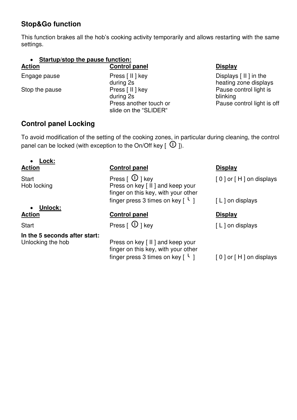# **Stop&Go function**

This function brakes all the hob's cooking activity temporarily and allows restarting with the same settings.

### • **Startup/stop the pause function:**

Engage pause **Press** [ II ] key **Displays** [ II ] in the during 2s **heating zone displays** Stop the pause **Press** [ II ] key **Press** Pause control light is during 2s blinking<br>Press another touch or **blinking** slide on the "SLIDER"

### Action **Control panel Display**

Pause control light is off

## <span id="page-12-0"></span>**Control panel Locking**

To avoid modification of the setting of the cooking zones, in particular during cleaning, the control panel can be locked (with exception to the On/Off key  $\lceil$   $\Box$ ).

# • **Lock:**

# • **Unlock:**

**In the 5 seconds after start:** 

### Action **Control panel Display**

Start **Start** Press  $\begin{bmatrix} 0 \end{bmatrix}$  key  $\begin{bmatrix} 0 \end{bmatrix}$  or  $\begin{bmatrix} H \end{bmatrix}$  on displays Hob locking Press on key [ II ] and keep your finger on this key, with your other finger press 3 times on key  $\lceil \frac{l}{2} \rceil$  [ L ] on displays

### **Action Control panel Action Control panel Action Control Property**

Start **Press**  $[\n\mathbb{O}]$  key  $[\n\mathbb{L}]$  on displays

Unlocking the hob Press on key [ II ] and keep your finger on this key, with your other finger press 3 times on key  $\lceil \cdot \rceil$  [ 0 ] or  $\lceil \cdot \rceil$  and displays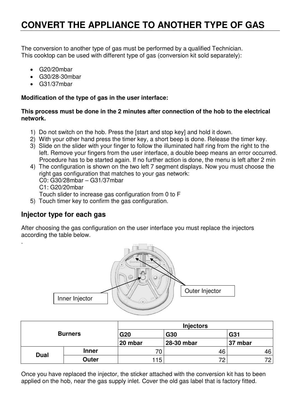# <span id="page-13-0"></span>**CONVERT THE APPLIANCE TO ANOTHER TYPE OF GAS**

The conversion to another type of gas must be performed by a qualified Technician. This cooktop can be used with different type of gas (conversion kit sold separately):

- G20/20mbar
- G30/28-30mbar
- G31/37mbar

### **Modification of the type of gas in the user interface:**

### **This process must be done in the 2 minutes after connection of the hob to the electrical network.**

- 1) Do not switch on the hob. Press the [start and stop key] and hold it down.
- 2) With your other hand press the timer key, a short beep is done. Release the timer key.
- 3) Slide on the slider with your finger to follow the illuminated half ring from the right to the left. Remove your fingers from the user interface, a double beep means an error occurred. Procedure has to be started again. If no further action is done, the menu is left after 2 min
- 4) The configuration is shown on the two left 7 segment displays. Now you must choose the right gas configuration that matches to your gas network: C0: G30/28mbar – G31/37mbar C1: G20/20mbar Touch slider to increase gas configuration from 0 to F
- 5) Touch timer key to confirm the gas configuration.

# <span id="page-13-1"></span>**Injector type for each gas**

.

After choosing the gas configuration on the user interface you must replace the injectors according the table below.



| <b>Burners</b> |              | <b>Injectors</b> |            |         |  |
|----------------|--------------|------------------|------------|---------|--|
|                |              | G20              | G30        | G31     |  |
|                |              | 20 mbar          | 28-30 mbar | 37 mbar |  |
|                | <b>Inner</b> | 71               | 46         | 46      |  |
| <b>Dual</b>    | Outer        | 115.             | 72         | 70      |  |

Once you have replaced the injector, the sticker attached with the conversion kit has to been applied on the hob, near the gas supply inlet. Cover the old gas label that is factory fitted.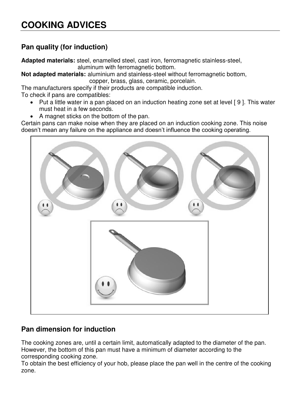# <span id="page-14-1"></span><span id="page-14-0"></span>**Pan quality (for induction)**

**Adapted materials:** steel, enamelled steel, cast iron, ferromagnetic stainless-steel,

aluminum with ferromagnetic bottom.

**Not adapted materials:** aluminium and stainless-steel without ferromagnetic bottom,

copper, brass, glass, ceramic, porcelain.

The manufacturers specify if their products are compatible induction.

To check if pans are compatibles:

- Put a little water in a pan placed on an induction heating zone set at level [9]. This water must heat in a few seconds.
- A magnet sticks on the bottom of the pan.

Certain pans can make noise when they are placed on an induction cooking zone. This noise doesn't mean any failure on the appliance and doesn't influence the cooking operating.



# <span id="page-14-2"></span>**Pan dimension for induction**

The cooking zones are, until a certain limit, automatically adapted to the diameter of the pan. However, the bottom of this pan must have a minimum of diameter according to the corresponding cooking zone.

To obtain the best efficiency of your hob, please place the pan well in the centre of the cooking zone.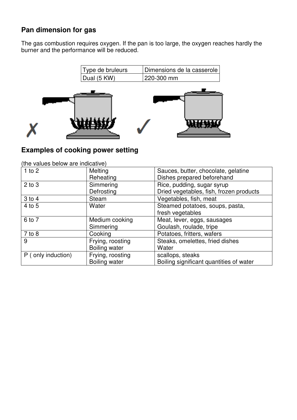# <span id="page-15-0"></span>**Pan dimension for gas**

The gas combustion requires oxygen. If the pan is too large, the oxygen reaches hardly the burner and the performance will be reduced.



## <span id="page-15-1"></span>**Examples of cooking power setting**

| $1$ to $2$         | Melting              | Sauces, butter, chocolate, gelatine     |
|--------------------|----------------------|-----------------------------------------|
|                    | Reheating            | Dishes prepared beforehand              |
| $2$ to $3$         | Simmering            | Rice, pudding, sugar syrup              |
|                    | Defrosting           | Dried vegetables, fish, frozen products |
| $3$ to $4$         | Steam                | Vegetables, fish, meat                  |
| 4 to 5             | Water                | Steamed potatoes, soups, pasta,         |
|                    |                      | fresh vegetables                        |
| 6 to 7             | Medium cooking       | Meat, lever, eggs, sausages             |
|                    | Simmering            | Goulash, roulade, tripe                 |
| $7$ to $8$         | Cooking              | Potatoes, fritters, wafers              |
| 9                  | Frying, roosting     | Steaks, omelettes, fried dishes         |
|                    | <b>Boiling water</b> | Water                                   |
| P (only induction) | Frying, roosting     | scallops, steaks                        |
|                    | <b>Boiling water</b> | Boiling significant quantities of water |

(the values below are indicative)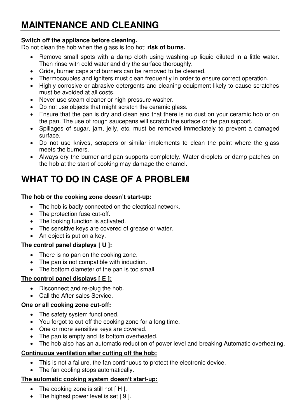# <span id="page-16-0"></span>**MAINTENANCE AND CLEANING**

### **Switch off the appliance before cleaning.**

Do not clean the hob when the glass is too hot: **risk of burns.** 

- Remove small spots with a damp cloth using washing-up liquid diluted in a little water. Then rinse with cold water and dry the surface thoroughly.
- Grids, burner caps and burners can be removed to be cleaned.
- Thermocouples and igniters must clean frequently in order to ensure correct operation.
- Highly corrosive or abrasive detergents and cleaning equipment likely to cause scratches must be avoided at all costs.
- Never use steam cleaner or high-pressure washer.
- Do not use objects that might scratch the ceramic glass.
- Ensure that the pan is dry and clean and that there is no dust on your ceramic hob or on the pan. The use of rough saucepans will scratch the surface or the pan support.
- Spillages of sugar, jam, jelly, etc. must be removed immediately to prevent a damaged surface.
- Do not use knives, scrapers or similar implements to clean the point where the glass meets the burners.
- Always dry the burner and pan supports completely. Water droplets or damp patches on the hob at the start of cooking may damage the enamel.

# <span id="page-16-1"></span>**WHAT TO DO IN CASE OF A PROBLEM**

### **The hob or the cooking zone doesn't start-up:**

- The hob is badly connected on the electrical network.
- The protection fuse cut-off.
- The looking function is activated.
- The sensitive keys are covered of grease or water.
- An object is put on a key.

### **The control panel displays [ U ]:**

- There is no pan on the cooking zone.
- The pan is not compatible with induction.
- The bottom diameter of the pan is too small.

### **The control panel displays [ E ]:**

- Disconnect and re-plug the hob.
- Call the After-sales Service.

### **One or all cooking zone cut-off:**

- The safety system functioned.
- You forgot to cut-off the cooking zone for a long time.
- One or more sensitive keys are covered.
- The pan is empty and its bottom overheated.
- The hob also has an automatic reduction of power level and breaking Automatic overheating.

### **Continuous ventilation after cutting off the hob:**

- This is not a failure, the fan continuous to protect the electronic device.
- The fan cooling stops automatically.

### **The automatic cooking system doesn't start-up:**

- The cooking zone is still hot [H].
- The highest power level is set [9].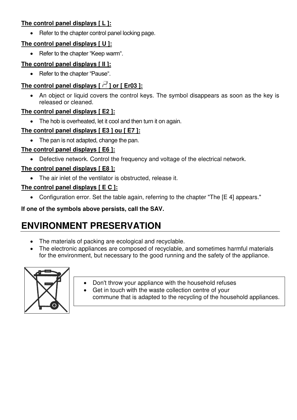## **The control panel displays [ L ]:**

• Refer to the chapter control panel locking page.

## **The control panel displays [ U ]:**

• Refer to the chapter "Keep warm".

## **The control panel displays [ II ]:**

• Refer to the chapter "Pause".

# The control panel displays  $\lceil \frac{1}{2} \rceil$  or  $\lceil \frac{1}{2} \rceil$  Cr03 ]:

• An object or liquid covers the control keys. The symbol disappears as soon as the key is released or cleaned.

## **The control panel displays [ E2 ]:**

• The hob is overheated, let it cool and then turn it on again.

## **The control panel displays [ E3 ] ou [ E7 ]:**

• The pan is not adapted, change the pan.

## **The control panel displays [ E6 ]:**

• Defective network. Control the frequency and voltage of the electrical network.

## **The control panel displays [ E8 ]:**

• The air inlet of the ventilator is obstructed, release it.

## **The control panel displays [ E C ]:**

• Configuration error. Set the table again, referring to the chapter "The [E 4] appears."

## **If one of the symbols above persists, call the SAV.**

# <span id="page-17-0"></span>**ENVIRONMENT PRESERVATION**

- The materials of packing are ecological and recyclable.
- The electronic appliances are composed of recyclable, and sometimes harmful materials for the environment, but necessary to the good running and the safety of the appliance.



- Don't throw your appliance with the household refuses
- Get in touch with the waste collection centre of your commune that is adapted to the recycling of the household appliances.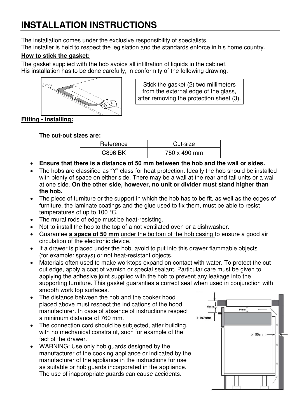# <span id="page-18-0"></span>**INSTALLATION INSTRUCTIONS**

The installation comes under the exclusive responsibility of specialists.

The installer is held to respect the legislation and the standards enforce in his home country.

## **How to stick the gasket:**

The gasket supplied with the hob avoids all infiltration of liquids in the cabinet. His installation has to be done carefully, in conformity of the following drawing.



Stick the gasket (2) two millimeters from the external edge of the glass, after removing the protection sheet (3).

## **Fitting - installing:**

### **The cut-out sizes are:**

| Reference      | Cut-size     |
|----------------|--------------|
| <b>C896IBK</b> | 750 x 490 mm |

- **Ensure that there is a distance of 50 mm between the hob and the wall or sides.**
- The hobs are classified as "Y" class for heat protection. Ideally the hob should be installed with plenty of space on either side. There may be a wall at the rear and tall units or a wall at one side. **On the other side, however, no unit or divider must stand higher than the hob.**
- The piece of furniture or the support in which the hob has to be fit, as well as the edges of furniture, the laminate coatings and the glue used to fix them, must be able to resist temperatures of up to 100 °C.
- The mural rods of edge must be heat-resisting.
- Not to install the hob to the top of a not ventilated oven or a dishwasher.
- Guarantee **a space of 50 mm** under the bottom of the hob casing to ensure a good air circulation of the electronic device.
- If a drawer is placed under the hob, avoid to put into this drawer flammable objects (for example: sprays) or not heat-resistant objects.
- Materials often used to make worktops expand on contact with water. To protect the cut out edge, apply a coat of varnish or special sealant. Particular care must be given to applying the adhesive joint supplied with the hob to prevent any leakage into the supporting furniture. This gasket guaranties a correct seal when used in conjunction with smooth work top surfaces.
- The distance between the hob and the cooker hood placed above must respect the indications of the hood manufacturer. In case of absence of instructions respect a minimum distance of 760 mm.
- The connection cord should be subjected, after building, with no mechanical constraint, such for example of the fact of the drawer.
- WARNING: Use only hob guards designed by the manufacturer of the cooking appliance or indicated by the manufacturer of the appliance in the instructions for use as suitable or hob guards incorporated in the appliance. The use of inappropriate guards can cause accidents.

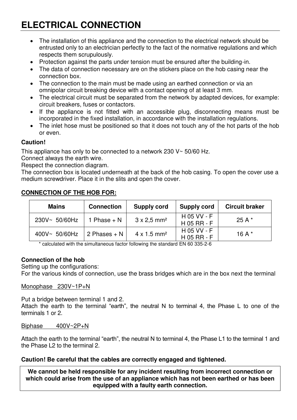# <span id="page-19-0"></span>**ELECTRICAL CONNECTION**

- The installation of this appliance and the connection to the electrical network should be entrusted only to an electrician perfectly to the fact of the normative regulations and which respects them scrupulously.
- Protection against the parts under tension must be ensured after the building-in.
- The data of connection necessary are on the stickers place on the hob casing near the connection box.
- The connection to the main must be made using an earthed connection or via an omnipolar circuit breaking device with a contact opening of at least 3 mm.
- The electrical circuit must be separated from the network by adapted devices, for example: circuit breakers, fuses or contactors.
- If the appliance is not fitted with an accessible plug, disconnecting means must be incorporated in the fixed installation, in accordance with the installation regulations.
- The inlet hose must be positioned so that it does not touch any of the hot parts of the hob or even.

### **Caution!**

This appliance has only to be connected to a network 230 V~ 50/60 Hz.

Connect always the earth wire.

Respect the connection diagram.

The connection box is located underneath at the back of the hob casing. To open the cover use a medium screwdriver. Place it in the slits and open the cover.

### **CONNECTION OF THE HOB FOR:**

| <b>Mains</b>     | <b>Connection</b> | <b>Supply cord</b>             | <b>Supply cord</b>           | <b>Circuit braker</b> |
|------------------|-------------------|--------------------------------|------------------------------|-----------------------|
| $230V - 50/60Hz$ | 1 Phase $+ N$     | $3 \times 2.5$ mm <sup>2</sup> | H 05 VV - F<br>$H$ 05 RR - F | 25 A $*$              |
| $400V - 50/60Hz$ | 2 Phases $+ N$    | $4 \times 1.5$ mm <sup>2</sup> | H 05 VV - F<br>$H$ 05 RR - F | 16 A $*$              |

\* calculated with the simultaneous factor following the standard EN 60 335-2-6

### **Connection of the hob**

Setting up the configurations:

For the various kinds of connection, use the brass bridges which are in the box next the terminal

Monophase 230V~1P+N

Put a bridge between terminal 1 and 2.

Attach the earth to the terminal "earth", the neutral N to terminal 4, the Phase L to one of the terminals 1 or 2.

### Biphase 400V~2P+N

Attach the earth to the terminal "earth", the neutral N to terminal 4, the Phase L1 to the terminal 1 and the Phase L2 to the terminal 2.

### **Caution! Be careful that the cables are correctly engaged and tightened.**

**We cannot be held responsible for any incident resulting from incorrect connection or which could arise from the use of an appliance which has not been earthed or has been equipped with a faulty earth connection.**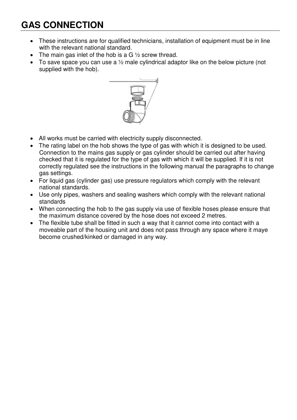# <span id="page-20-0"></span>**GAS CONNECTION**

- These instructions are for qualified technicians, installation of equipment must be in line with the relevant national standard.
- The main gas inlet of the hob is a  $G \frac{1}{2}$  screw thread.
- To save space you can use a  $\frac{1}{2}$  male cylindrical adaptor like on the below picture (not supplied with the hob).



- All works must be carried with electricity supply disconnected.
- The rating label on the hob shows the type of gas with which it is designed to be used. Connection to the mains gas supply or gas cylinder should be carried out after having checked that it is regulated for the type of gas with which it will be supplied. If it is not correctly regulated see the instructions in the following manual the paragraphs to change gas settings.
- For liquid gas (cylinder gas) use pressure regulators which comply with the relevant national standards.
- Use only pipes, washers and sealing washers which comply with the relevant national standards
- When connecting the hob to the gas supply via use of flexible hoses please ensure that the maximum distance covered by the hose does not exceed 2 metres.
- The flexible tube shall be fitted in such a way that it cannot come into contact with a moveable part of the housing unit and does not pass through any space where it maye become crushed/kinked or damaged in any way.